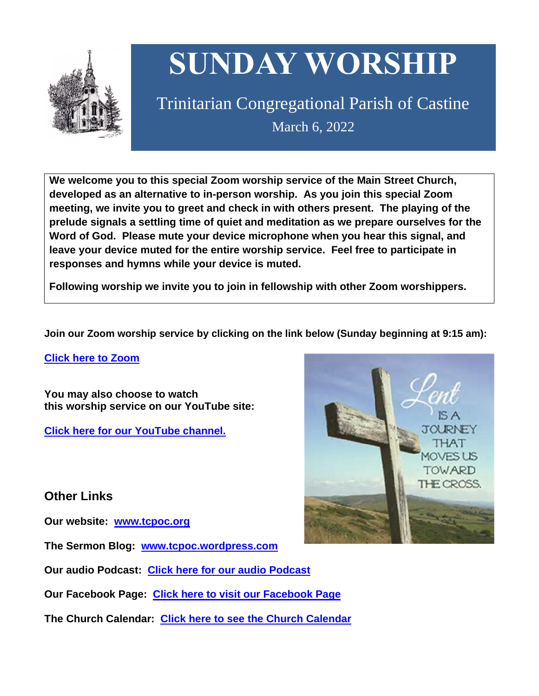

# **SUNDAY WORSHIP**

Trinitarian Congregational Parish of Castine March 6, 2022

**We welcome you to this special Zoom worship service of the Main Street Church, developed as an alternative to in-person worship. As you join this special Zoom meeting, we invite you to greet and check in with others present. The playing of the prelude signals a settling time of quiet and meditation as we prepare ourselves for the Word of God. Please mute your device microphone when you hear this signal, and leave your device muted for the entire worship service. Feel free to participate in responses and hymns while your device is muted.**

**Following worship we invite you to join in fellowship with other Zoom worshippers.**

**Join our Zoom worship service by clicking on the link below (Sunday beginning at 9:15 am):**

**Click here to [Zoom](https://us02web.zoom.us/j/89573448511?pwd=MFRuSFBJR2NWL015RzlyZ1UycmROQT09)**

**You may also choose to watch this worship service on our YouTube site:**

**Click here for our [YouTube](https://www.youtube.com/channel/UC4Bu-O6pN-bdPOqVNg0fBxA) channel.**

# **Other Links**

**Our website: [www.tcpoc.org](http://www.tcpoc.org/)**

**The Sermon Blog: [www.tcpoc.wordpress.com](http://www.tcpoc.wordpress.com/)**

**Our audio Podcast: Click here for our audio [Podcast](https://podpoint.com/trinitarian-congregational-parish-of-castine-podcast)**

**Our Facebook Page: Click here to visit our [Facebook](https://www.facebook.com/tcpoc) Page**

**The Church Calendar: Click here to see the Church [Calendar](http://www.tcpoc.org/calendar.html)**

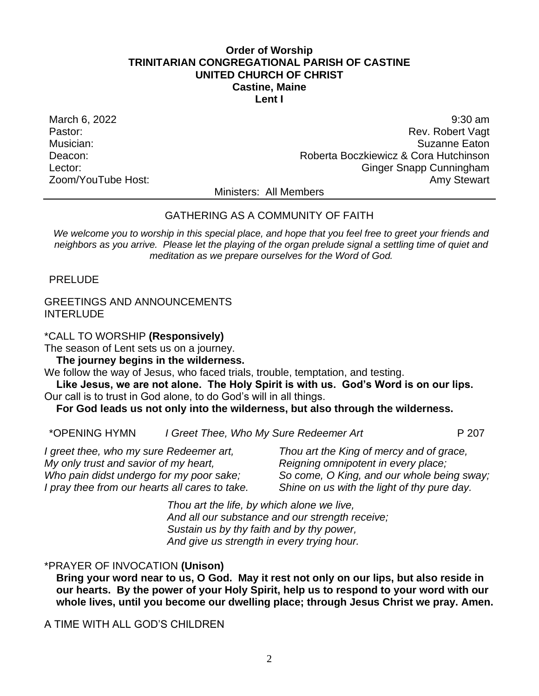# **Order of Worship TRINITARIAN CONGREGATIONAL PARISH OF CASTINE UNITED CHURCH OF CHRIST Castine, Maine Lent I**

March 6, 2022 9:30 am and the set of the set of the set of the set of the set of the set of the set of the set of the set of the set of the set of the set of the set of the set of the set of the set of the set of the set o Pastor: Rev. Robert Vagt Musician: Suzanne Eaton Deacon: Roberta Boczkiewicz & Cora Hutchinson Lector: Ginger Snapp Cunningham Zoom/YouTube Host: Amy Stewart Communication and Amy Stewart

Ministers: All Members

# GATHERING AS A COMMUNITY OF FAITH

*We welcome you to worship in this special place, and hope that you feel free to greet your friends and neighbors as you arrive. Please let the playing of the organ prelude signal a settling time of quiet and meditation as we prepare ourselves for the Word of God.*

PRELUDE

GREETINGS AND ANNOUNCEMENTS INTERLUDE

\*CALL TO WORSHIP **(Responsively)**

The season of Lent sets us on a journey.

**The journey begins in the wilderness.**

We follow the way of Jesus, who faced trials, trouble, temptation, and testing.

**Like Jesus, we are not alone. The Holy Spirit is with us. God's Word is on our lips.** Our call is to trust in God alone, to do God's will in all things.

**For God leads us not only into the wilderness, but also through the wilderness.**

\*OPENING HYMN *I Greet Thee, Who My Sure Redeemer Art* P 207

*I greet thee, who my sure Redeemer art, My only trust and savior of my heart, Who pain didst undergo for my poor sake; I pray thee from our hearts all cares to take.*

*Thou art the King of mercy and of grace, Reigning omnipotent in every place; So come, O King, and our whole being sway; Shine on us with the light of thy pure day.*

*Thou art the life, by which alone we live, And all our substance and our strength receive; Sustain us by thy faith and by thy power, And give us strength in every trying hour.*

# \*PRAYER OF INVOCATION **(Unison)**

**Bring your word near to us, O God. May it rest not only on our lips, but also reside in our hearts. By the power of your Holy Spirit, help us to respond to your word with our whole lives, until you become our dwelling place; through Jesus Christ we pray. Amen.**

A TIME WITH ALL GOD'S CHILDREN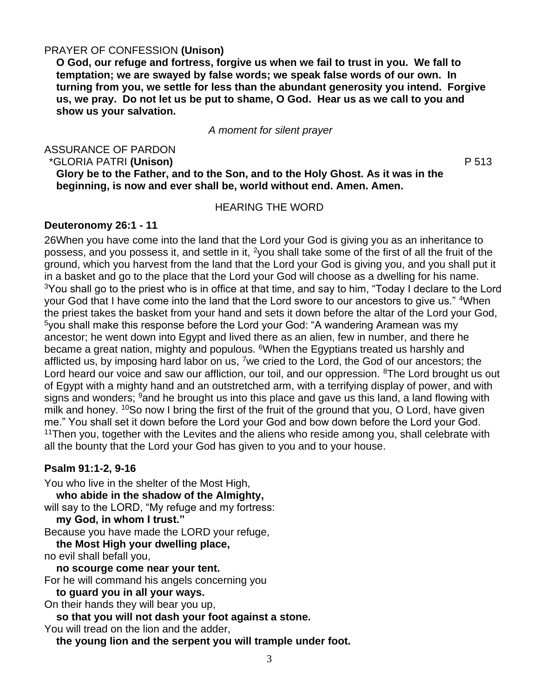# PRAYER OF CONFESSION **(Unison)**

**O God, our refuge and fortress, forgive us when we fail to trust in you. We fall to temptation; we are swayed by false words; we speak false words of our own. In turning from you, we settle for less than the abundant generosity you intend. Forgive us, we pray. Do not let us be put to shame, O God. Hear us as we call to you and show us your salvation.**

### *A moment for silent prayer*

ASSURANCE OF PARDON

\*GLORIA PATRI **(Unison)** P 513

**Glory be to the Father, and to the Son, and to the Holy Ghost. As it was in the beginning, is now and ever shall be, world without end. Amen. Amen.**

# HEARING THE WORD

### **Deuteronomy 26:1 - 11**

26When you have come into the land that the Lord your God is giving you as an inheritance to possess, and you possess it, and settle in it, <sup>2</sup>you shall take some of the first of all the fruit of the ground, which you harvest from the land that the Lord your God is giving you, and you shall put it in a basket and go to the place that the Lord your God will choose as a dwelling for his name. <sup>3</sup>You shall go to the priest who is in office at that time, and say to him, "Today I declare to the Lord your God that I have come into the land that the Lord swore to our ancestors to give us." 4When the priest takes the basket from your hand and sets it down before the altar of the Lord your God, <sup>5</sup>you shall make this response before the Lord your God: "A wandering Aramean was my ancestor; he went down into Egypt and lived there as an alien, few in number, and there he became a great nation, mighty and populous. <sup>6</sup>When the Egyptians treated us harshly and afflicted us, by imposing hard labor on us, <sup>7</sup>we cried to the Lord, the God of our ancestors; the Lord heard our voice and saw our affliction, our toil, and our oppression. <sup>8</sup>The Lord brought us out of Egypt with a mighty hand and an outstretched arm, with a terrifying display of power, and with signs and wonders; <sup>9</sup>and he brought us into this place and gave us this land, a land flowing with milk and honey. <sup>10</sup>So now I bring the first of the fruit of the ground that you, O Lord, have given me." You shall set it down before the Lord your God and bow down before the Lord your God.  $11$ Then you, together with the Levites and the aliens who reside among you, shall celebrate with all the bounty that the Lord your God has given to you and to your house.

# **Psalm 91:1-2, 9-16**

You who live in the shelter of the Most High, **who abide in the shadow of the Almighty,** will say to the LORD, "My refuge and my fortress: **my God, in whom I trust."** Because you have made the LORD your refuge, **the Most High your dwelling place,** no evil shall befall you, **no scourge come near your tent.** For he will command his angels concerning you **to guard you in all your ways.** On their hands they will bear you up, **so that you will not dash your foot against a stone.** You will tread on the lion and the adder,

**the young lion and the serpent you will trample under foot.**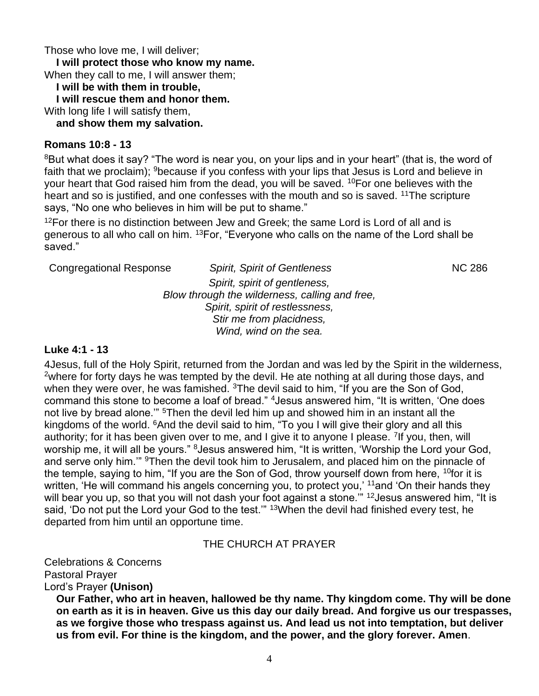Those who love me, I will deliver;

**I will protect those who know my name.**

When they call to me, I will answer them;

**I will be with them in trouble,**

**I will rescue them and honor them.**

With long life I will satisfy them,

**and show them my salvation.**

# **Romans 10:8 - 13**

<sup>8</sup>But what does it say? "The word is near you, on your lips and in your heart" (that is, the word of faith that we proclaim); <sup>9</sup>because if you confess with your lips that Jesus is Lord and believe in your heart that God raised him from the dead, you will be saved. <sup>10</sup>For one believes with the heart and so is justified, and one confesses with the mouth and so is saved. <sup>11</sup>The scripture says, "No one who believes in him will be put to shame."

<sup>12</sup>For there is no distinction between Jew and Greek; the same Lord is Lord of all and is generous to all who call on him. <sup>13</sup>For, "Everyone who calls on the name of the Lord shall be saved."

| <b>Congregational Response</b>                 | <b>Spirit, Spirit of Gentleness</b> | <b>NC 286</b> |
|------------------------------------------------|-------------------------------------|---------------|
|                                                | Spirit, spirit of gentleness,       |               |
| Blow through the wilderness, calling and free, |                                     |               |
| Spirit, spirit of restlessness,                |                                     |               |
|                                                | Stir me from placidness,            |               |
|                                                | Wind, wind on the sea.              |               |

# **Luke 4:1 - 13**

4Jesus, full of the Holy Spirit, returned from the Jordan and was led by the Spirit in the wilderness, <sup>2</sup>where for forty days he was tempted by the devil. He ate nothing at all during those days, and when they were over, he was famished. <sup>3</sup>The devil said to him, "If you are the Son of God, command this stone to become a loaf of bread." <sup>4</sup>Jesus answered him, "It is written, 'One does not live by bread alone." <sup>5</sup>Then the devil led him up and showed him in an instant all the kingdoms of the world. <sup>6</sup>And the devil said to him, "To you I will give their glory and all this authority; for it has been given over to me, and I give it to anyone I please. <sup>7</sup>If you, then, will worship me, it will all be yours." <sup>8</sup> Jesus answered him, "It is written, 'Worship the Lord your God, and serve only him." <sup>9</sup>Then the devil took him to Jerusalem, and placed him on the pinnacle of the temple, saying to him, "If you are the Son of God, throw yourself down from here, <sup>10</sup>for it is written, 'He will command his angels concerning you, to protect you,' <sup>11</sup>and 'On their hands they will bear you up, so that you will not dash your foot against a stone." <sup>12</sup> Jesus answered him, "It is said, 'Do not put the Lord your God to the test."" <sup>13</sup>When the devil had finished every test, he departed from him until an opportune time.

# THE CHURCH AT PRAYER

Celebrations & Concerns Pastoral Prayer Lord's Prayer **(Unison)**

**Our Father, who art in heaven, hallowed be thy name. Thy kingdom come. Thy will be done on earth as it is in heaven. Give us this day our daily bread. And forgive us our trespasses, as we forgive those who trespass against us. And lead us not into temptation, but deliver us from evil. For thine is the kingdom, and the power, and the glory forever. Amen**.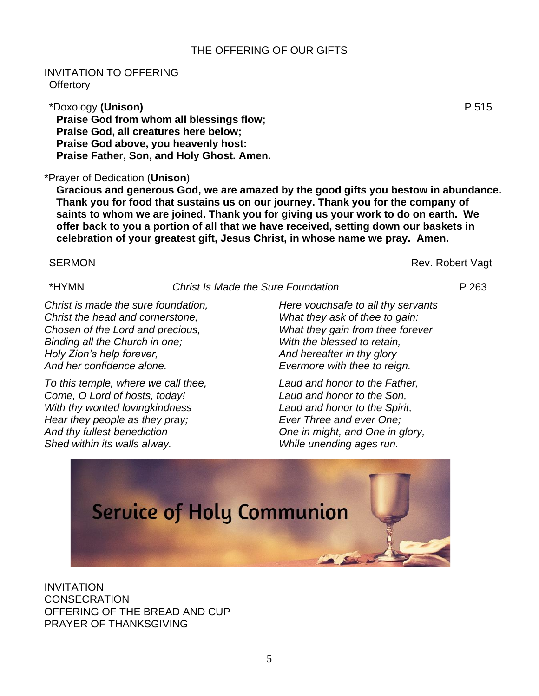# THE OFFERING OF OUR GIFTS

# INVITATION TO OFFERING **Offertory**

\*Doxology **(Unison)** P 515 **Praise God from whom all blessings flow; Praise God, all creatures here below; Praise God above, you heavenly host: Praise Father, Son, and Holy Ghost. Amen.**

# \*Prayer of Dedication (**Unison**)

**Gracious and generous God, we are amazed by the good gifts you bestow in abundance. Thank you for food that sustains us on our journey. Thank you for the company of saints to whom we are joined. Thank you for giving us your work to do on earth. We offer back to you a portion of all that we have received, setting down our baskets in celebration of your greatest gift, Jesus Christ, in whose name we pray. Amen.**

### SERMON **Rev. Robert Vagt**

\*HYMN *Christ Is Made the Sure Foundation* P 263

*Christ is made the sure foundation, Christ the head and cornerstone, Chosen of the Lord and precious, Binding all the Church in one; Holy Zion's help forever, And her confidence alone.*

*To this temple, where we call thee, Come, O Lord of hosts, today! With thy wonted lovingkindness Hear they people as they pray; And thy fullest benediction Shed within its walls alway.*

*Here vouchsafe to all thy servants What they ask of thee to gain: What they gain from thee forever With the blessed to retain, And hereafter in thy glory Evermore with thee to reign.*

*Laud and honor to the Father, Laud and honor to the Son, Laud and honor to the Spirit, Ever Three and ever One; One in might, and One in glory, While unending ages run.*



INVITATION **CONSECRATION** OFFERING OF THE BREAD AND CUP PRAYER OF THANKSGIVING